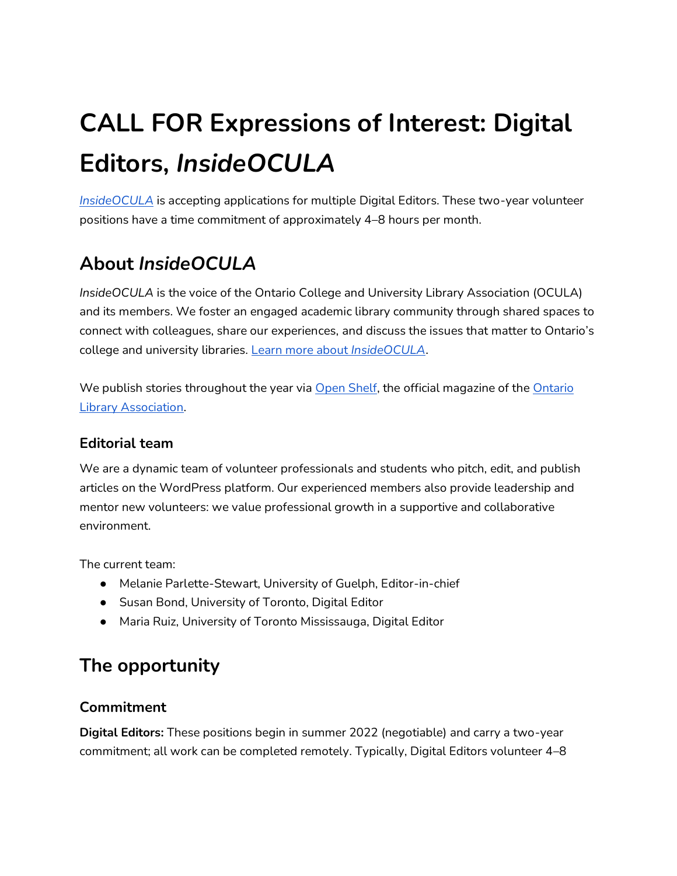# **CALL FOR Expressions of Interest: Digital Editors,** *InsideOCULA*

*[InsideOCULA](https://open-shelf.ca/columns/insideocula/)* is accepting applications for multiple Digital Editors. These two-year volunteer positions have a time commitment of approximately 4–8 hours per month.

# **About** *InsideOCULA*

*InsideOCULA* is the voice of the Ontario College and University Library Association (OCULA) and its members. We foster an engaged academic library community through shared spaces to connect with colleagues, share our experiences, and discuss the issues that matter to Ontario's college and university libraries. [Learn more about](https://accessola.com/media/insideocula/) *[InsideOCULA](https://accessola.com/media/insideocula/)*[.](https://accessola.com/media/insideocula/)

We publish stories throughout the year via [Open Shelf,](https://open-shelf.ca/) the official magazine of the Ontario [Library Association.](https://accessola.com/)

## **Editorial team**

We are a dynamic team of volunteer professionals and students who pitch, edit, and publish articles on the WordPress platform. Our experienced members also provide leadership and mentor new volunteers: we value professional growth in a supportive and collaborative environment.

The current team:

- Melanie Parlette-Stewart, University of Guelph, Editor-in-chief
- Susan Bond, University of Toronto, Digital Editor
- Maria Ruiz, University of Toronto Mississauga, Digital Editor

# **The opportunity**

## **Commitment**

**Digital Editors:** These positions begin in summer 2022 (negotiable) and carry a two-year commitment; all work can be completed remotely. Typically, Digital Editors volunteer 4–8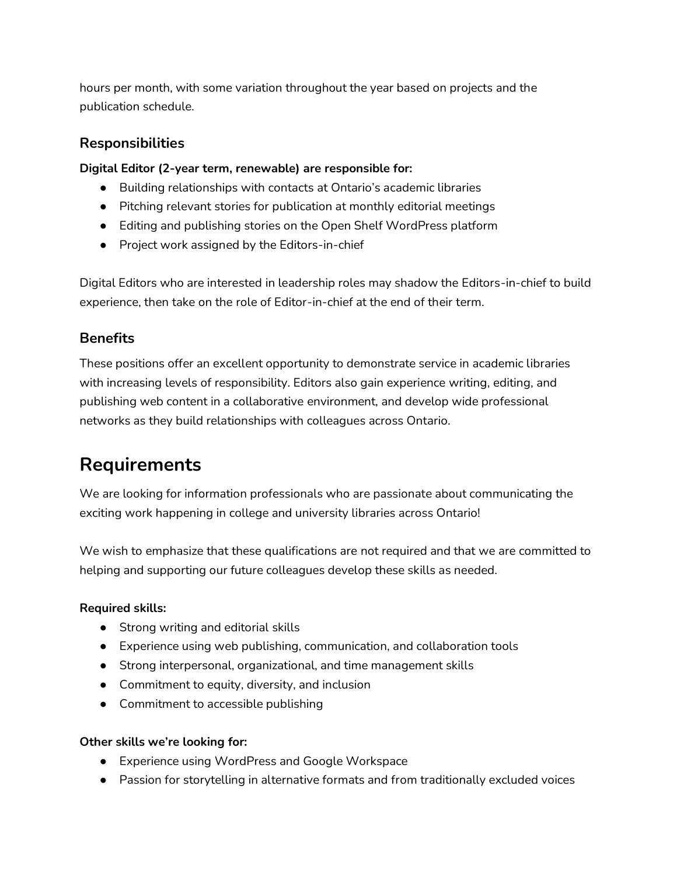hours per month, with some variation throughout the year based on projects and the publication schedule.

## **Responsibilities**

**Digital Editor (2-year term, renewable) are responsible for:**

- Building relationships with contacts at Ontario's academic libraries
- Pitching relevant stories for publication at monthly editorial meetings
- Editing and publishing stories on the Open Shelf WordPress platform
- Project work assigned by the Editors-in-chief

Digital Editors who are interested in leadership roles may shadow the Editors-in-chief to build experience, then take on the role of Editor-in-chief at the end of their term.

## **Benefits**

These positions offer an excellent opportunity to demonstrate service in academic libraries with increasing levels of responsibility. Editors also gain experience writing, editing, and publishing web content in a collaborative environment, and develop wide professional networks as they build relationships with colleagues across Ontario.

# **Requirements**

We are looking for information professionals who are passionate about communicating the exciting work happening in college and university libraries across Ontario!

We wish to emphasize that these qualifications are not required and that we are committed to helping and supporting our future colleagues develop these skills as needed.

#### **Required skills:**

- Strong writing and editorial skills
- Experience using web publishing, communication, and collaboration tools
- Strong interpersonal, organizational, and time management skills
- Commitment to equity, diversity, and inclusion
- Commitment to accessible publishing

#### **Other skills we're looking for:**

- Experience using WordPress and Google Workspace
- Passion for storytelling in alternative formats and from traditionally excluded voices